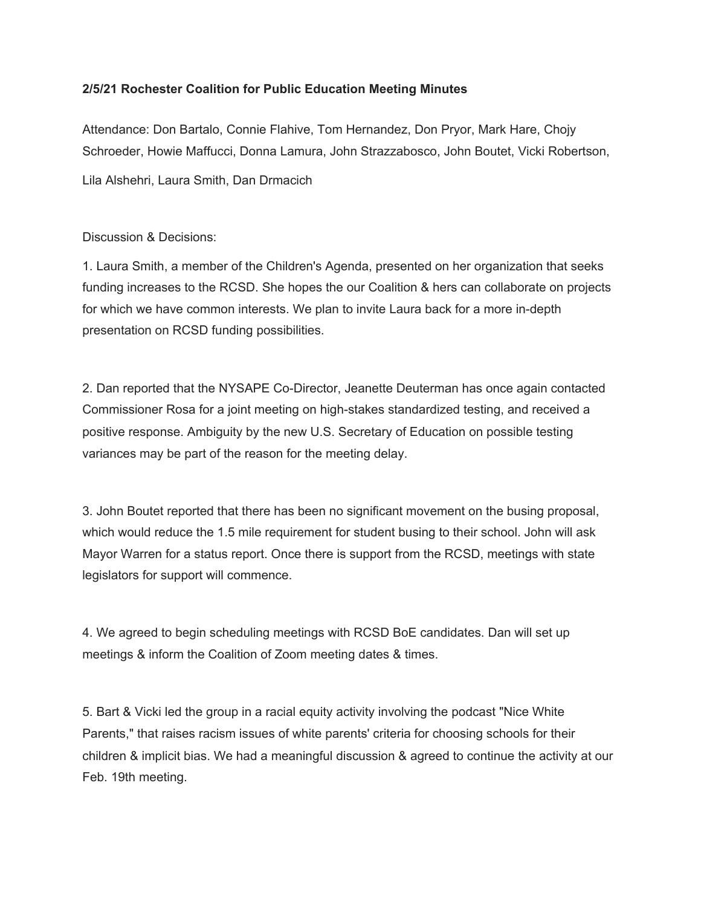## **2/5/21 Rochester Coalition for Public Education Meeting Minutes**

Attendance: Don Bartalo, Connie Flahive, Tom Hernandez, Don Pryor, Mark Hare, Chojy Schroeder, Howie Maffucci, Donna Lamura, John Strazzabosco, John Boutet, Vicki Robertson,

Lila Alshehri, Laura Smith, Dan Drmacich

Discussion & Decisions:

1. Laura Smith, a member of the Children's Agenda, presented on her organization that seeks funding increases to the RCSD. She hopes the our Coalition & hers can collaborate on projects for which we have common interests. We plan to invite Laura back for a more in-depth presentation on RCSD funding possibilities.

2. Dan reported that the NYSAPE Co-Director, Jeanette Deuterman has once again contacted Commissioner Rosa for a joint meeting on high-stakes standardized testing, and received a positive response. Ambiguity by the new U.S. Secretary of Education on possible testing variances may be part of the reason for the meeting delay.

3. John Boutet reported that there has been no significant movement on the busing proposal, which would reduce the 1.5 mile requirement for student busing to their school. John will ask Mayor Warren for a status report. Once there is support from the RCSD, meetings with state legislators for support will commence.

4. We agreed to begin scheduling meetings with RCSD BoE candidates. Dan will set up meetings & inform the Coalition of Zoom meeting dates & times.

5. Bart & Vicki led the group in a racial equity activity involving the podcast "Nice White Parents," that raises racism issues of white parents' criteria for choosing schools for their children & implicit bias. We had a meaningful discussion & agreed to continue the activity at our Feb. 19th meeting.